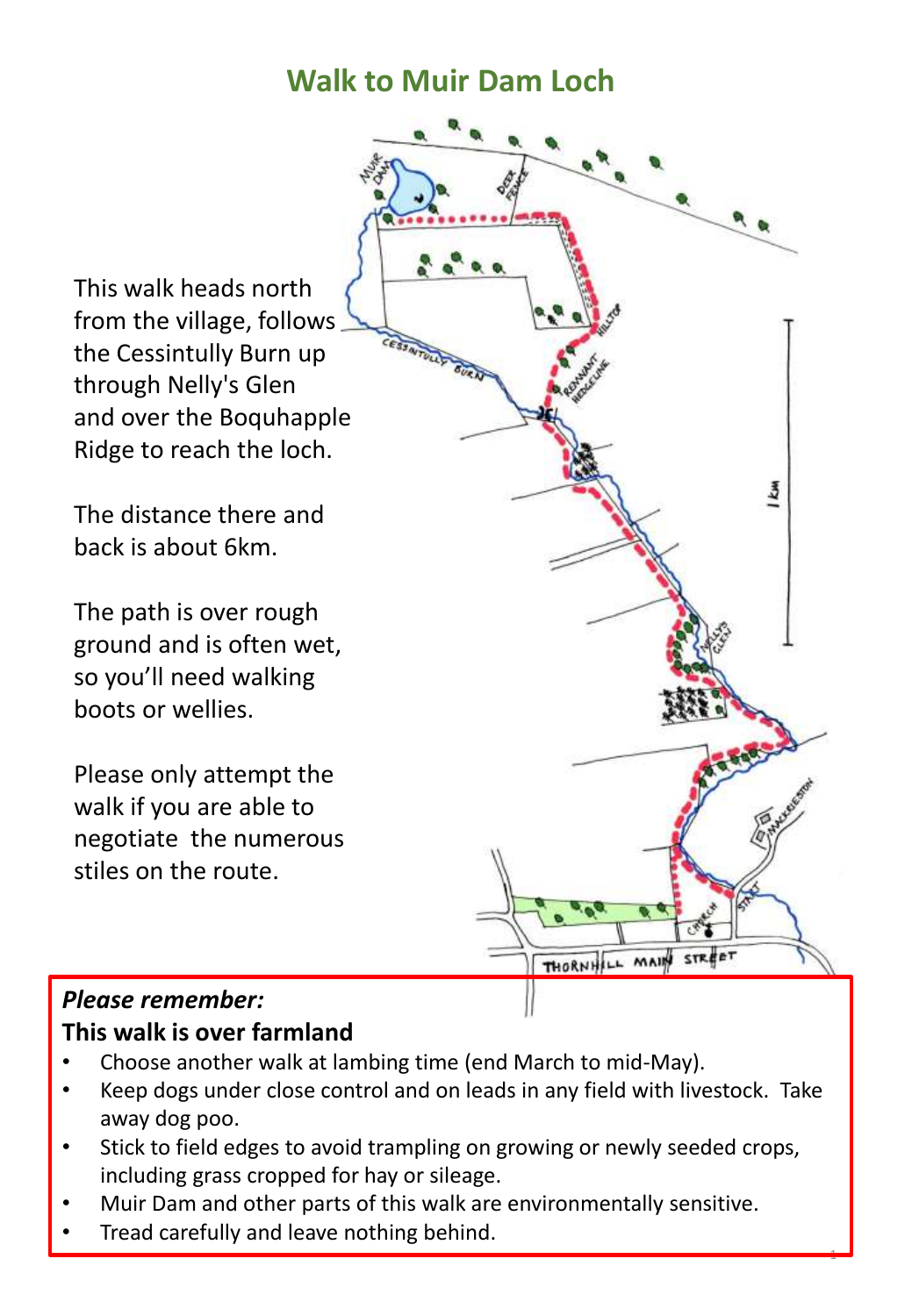## **Walk to Muir Dam Loch**

This walk heads north from the village, follows the Cessintully Burn up through Nelly's Glen and over the Boquhapple Ridge to reach the loch.

The distance there and back is about 6km.

The path is over rough ground and is often wet, so you'll need walking boots or wellies.

Please only attempt the walk if you are able to negotiate the numerous stiles on the route.



1

## *Please remember:* **This walk is over farmland**

- Choose another walk at lambing time (end March to mid-May).
- Keep dogs under close control and on leads in any field with livestock. Take away dog poo.
- Stick to field edges to avoid trampling on growing or newly seeded crops, including grass cropped for hay or sileage.
- Muir Dam and other parts of this walk are environmentally sensitive.
- Tread carefully and leave nothing behind.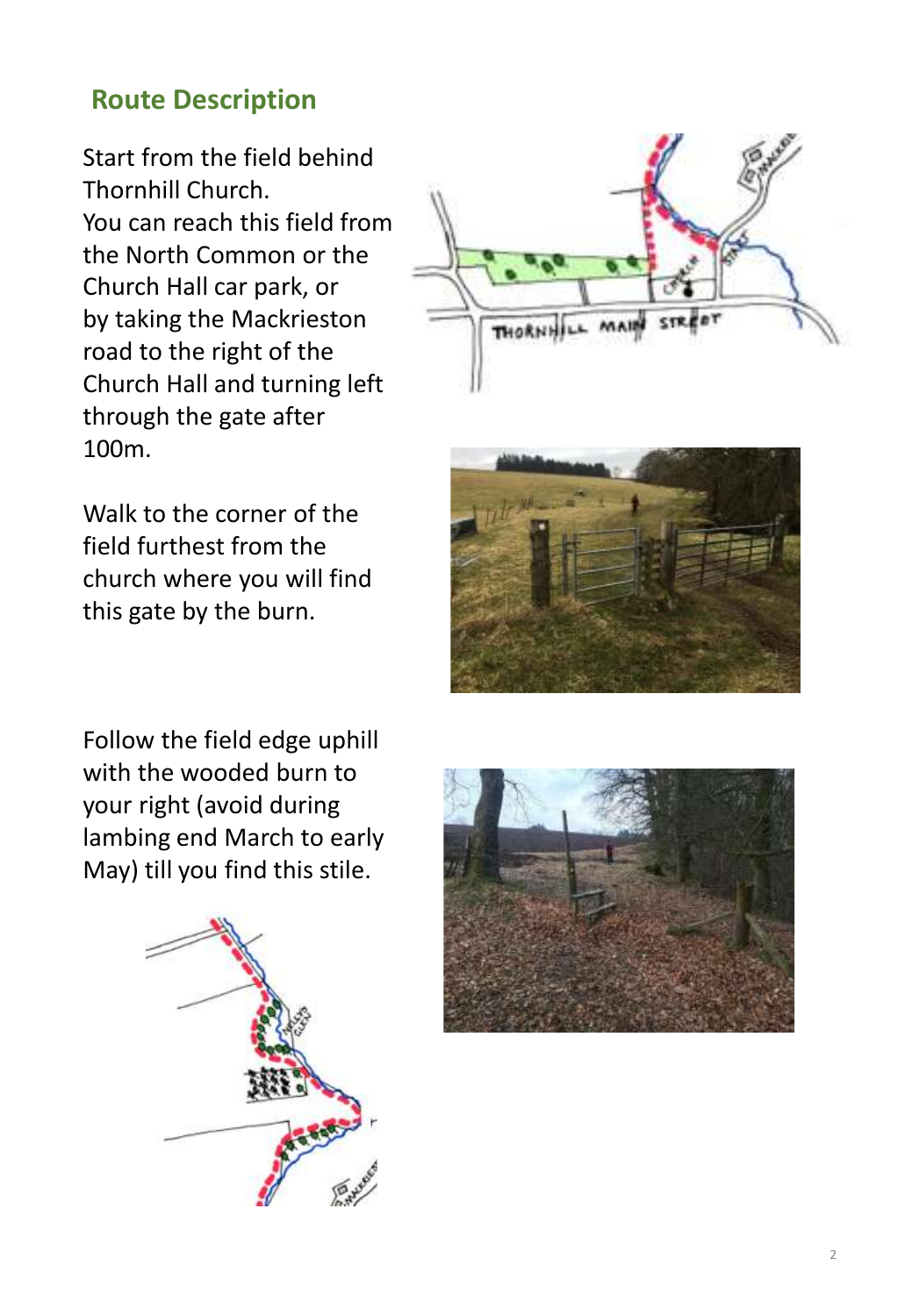## **Route Description**

Start from the field behind Thornhill Church. You can reach this field from the North Common or the Church Hall car park, or by taking the Mackrieston road to the right of the Church Hall and turning left through the gate after 100m.

Walk to the corner of the field furthest from the church where you will find this gate by the burn.





Follow the field edge uphill with the wooded burn to your right (avoid during lambing end March to early May) till you find this stile.



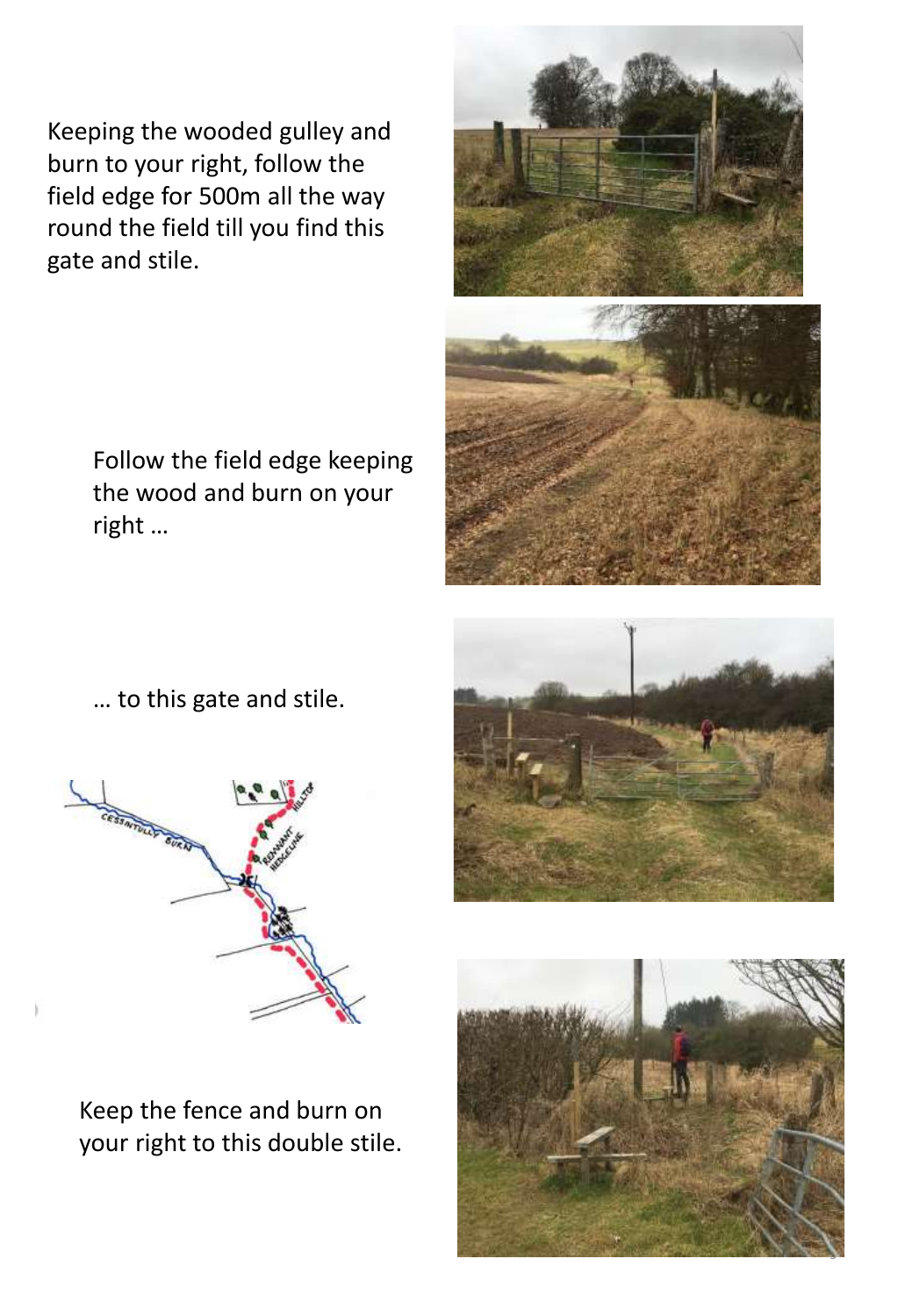Keeping the wooded gulley and burn to your right, follow the field edge for 500m all the way round the field till you find this gate and stile.

> Follow the field edge keeping the wood and burn on your right …





… to this gate and stile.



Keep the fence and burn on your right to this double stile.



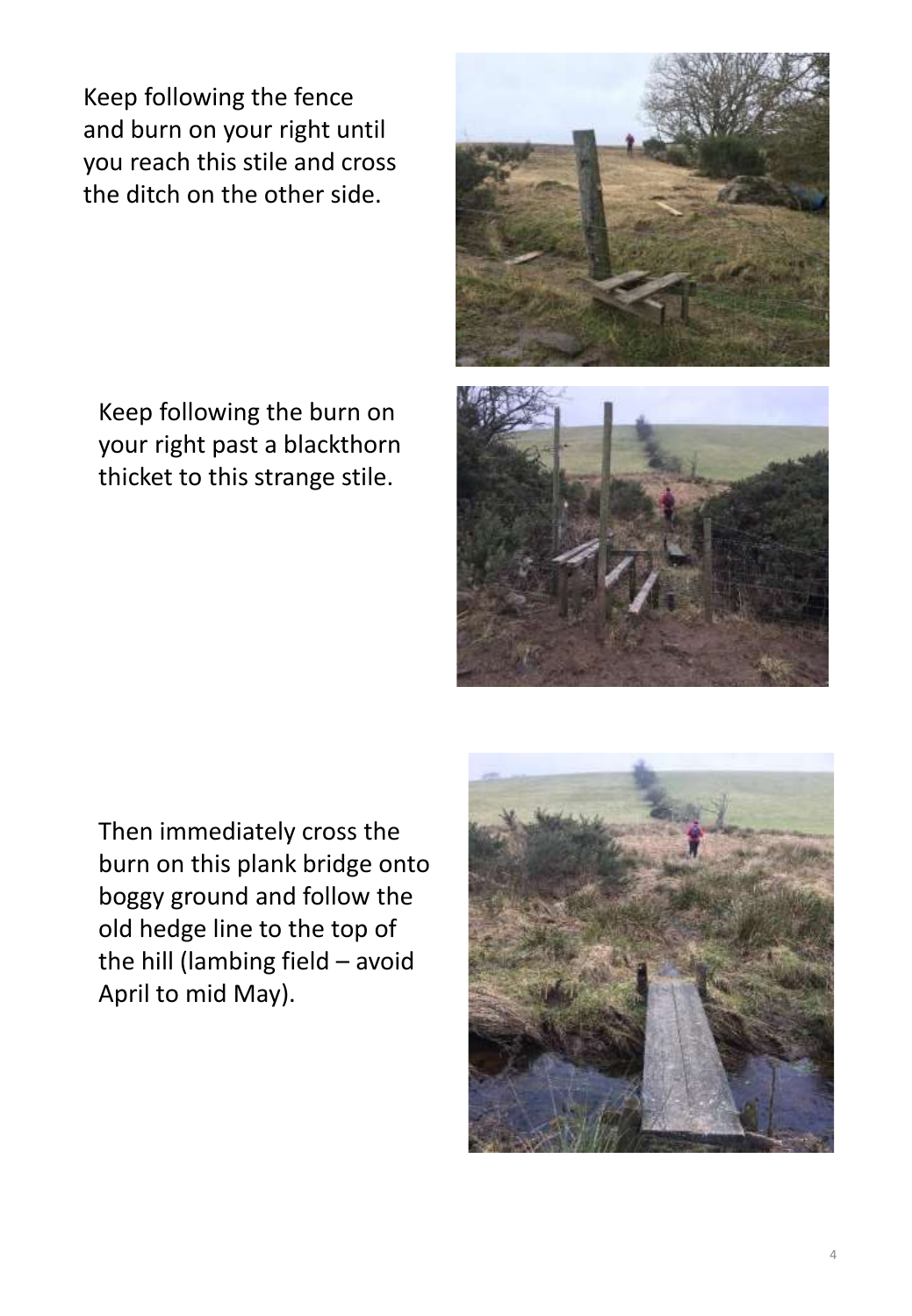Keep following the fence and burn on your right until you reach this stile and cross the ditch on the other side.

Keep following the burn on your right past a blackthorn thicket to this strange stile.





Then immediately cross the burn on this plank bridge onto boggy ground and follow the old hedge line to the top of the hill (lambing field – avoid April to mid May).